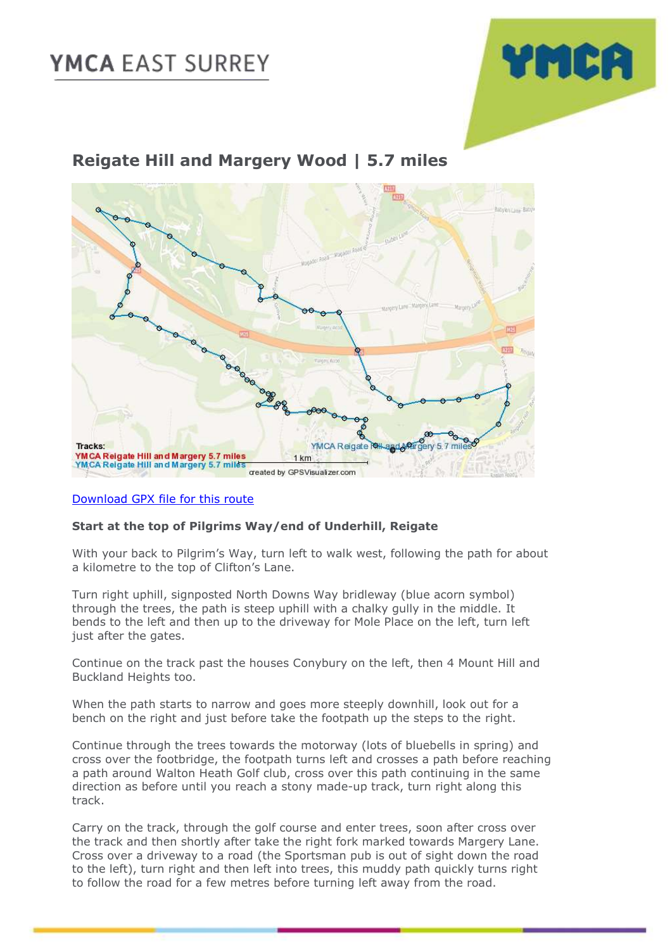# **YMCA EAST SURREY**



### **Reigate Hill and Margery Wood | 5.7 miles**



#### [Download GPX file for this route](https://1drv.ms/u/s!Au_1hsoZeiF5jSVBBkkApNC6sIF6)

### **Start at the top of Pilgrims Way/end of Underhill, Reigate**

With your back to Pilgrim's Way, turn left to walk west, following the path for about a kilometre to the top of Clifton's Lane.

Turn right uphill, signposted North Downs Way bridleway (blue acorn symbol) through the trees, the path is steep uphill with a chalky gully in the middle. It bends to the left and then up to the driveway for Mole Place on the left, turn left just after the gates.

Continue on the track past the houses Conybury on the left, then 4 Mount Hill and Buckland Heights too.

When the path starts to narrow and goes more steeply downhill, look out for a bench on the right and just before take the footpath up the steps to the right.

Continue through the trees towards the motorway (lots of bluebells in spring) and cross over the footbridge, the footpath turns left and crosses a path before reaching a path around Walton Heath Golf club, cross over this path continuing in the same direction as before until you reach a stony made-up track, turn right along this track.

Carry on the track, through the golf course and enter trees, soon after cross over the track and then shortly after take the right fork marked towards Margery Lane. Cross over a driveway to a road (the Sportsman pub is out of sight down the road to the left), turn right and then left into trees, this muddy path quickly turns right to follow the road for a few metres before turning left away from the road.